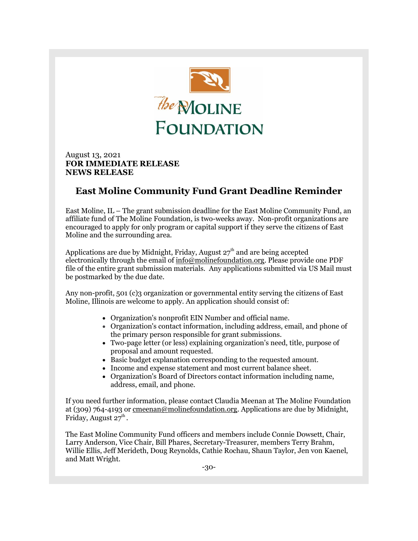

August 13, 2021 **FOR IMMEDIATE RELEASE NEWS RELEASE**

## **East Moline Community Fund Grant Deadline Reminder**

East Moline, IL – The grant submission deadline for the East Moline Community Fund, an affiliate fund of The Moline Foundation, is two-weeks away. Non-profit organizations are encouraged to apply for only program or capital support if they serve the citizens of East Moline and the surrounding area.

Applications are due by Midnight, Friday, August  $27<sup>th</sup>$  and are being accepted electronically through the email of [info@molinefoundation.org.](https://r20.rs6.net/tn.jsp?f=001lLRc6lG0g8FJUTZoiTrNfrvuxzJJzkKfSpyiSuipc66wy6CXx_m4FSpgkqNOSN36J-jPYl9WCrg0kMQek_05xbstZIrqFVc8y2nymW12FuE_Ae-OQNlCznhfCkAg0rYe9TwDqGRQVp_pGgoyQ0f0cw==&c=kECaS4uM3oWV75N76IEyYhMbYclC-43RXX1SV71nc1bC40_u_D7EMw==&ch=mAl2VH07yk9gUtFro6cxq1JtejAn97kaYtxFaOAiGhd2PyocjD_A1Q==) Please provide one PDF file of the entire grant submission materials. Any applications submitted via US Mail must be postmarked by the due date.

Any non-profit, 501 (c)3 organization or governmental entity serving the citizens of East Moline, Illinois are welcome to apply. An application should consist of:

- Organization's nonprofit EIN Number and official name.
- Organization's contact information, including address, email, and phone of the primary person responsible for grant submissions.
- Two-page letter (or less) explaining organization's need, title, purpose of proposal and amount requested.
- Basic budget explanation corresponding to the requested amount.
- Income and expense statement and most current balance sheet.
- Organization's Board of Directors contact information including name, address, email, and phone.

If you need further information, please contact Claudia Meenan at The Moline Foundation at (309) 764-4193 or [cmeenan@molinefoundation.org.](mailto:cmeenan@molinefoundation.org) Applications are due by Midnight, Friday, August 27 $^{\text{th}}$ .

The East Moline Community Fund officers and members include Connie Dowsett, Chair, Larry Anderson, Vice Chair, Bill Phares, Secretary-Treasurer, members Terry Brahm, Willie Ellis, Jeff Merideth, Doug Reynolds, Cathie Rochau, Shaun Taylor, Jen von Kaenel, and Matt Wright.